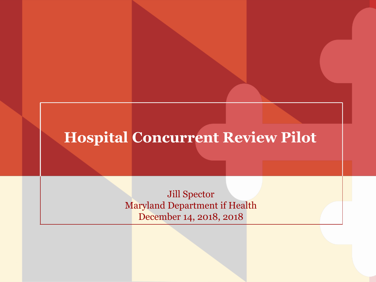#### **Hospital Concurrent Review Pilot**

Jill Spector Maryland Department if Health December 14, 2018, 2018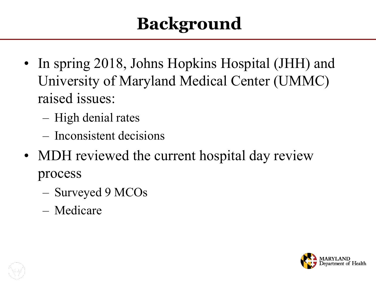# **Background**

- In spring 2018, Johns Hopkins Hospital (JHH) and University of Maryland Medical Center (UMMC) raised issues:
	- High denial rates
	- Inconsistent decisions
- MDH reviewed the current hospital day review process
	- Surveyed 9 MCOs
	- Medicare

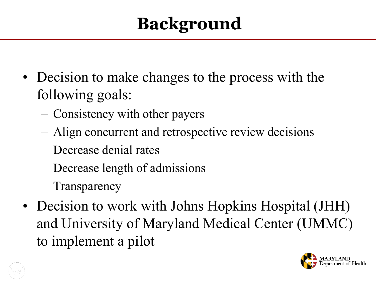## **Background**

- Decision to make changes to the process with the following goals:
	- Consistency with other payers
	- Align concurrent and retrospective review decisions
	- Decrease denial rates
	- Decrease length of admissions
	- Transparency
- Decision to work with Johns Hopkins Hospital (JHH) and University of Maryland Medical Center (UMMC) to implement a pilot

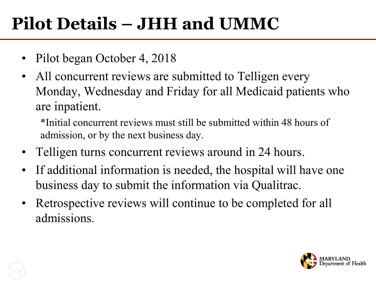## **Pilot Details – JHH and UMMC**

- Pilot began October 4, 2018
- All concurrent reviews are submitted to Telligen every Monday, Wednesday and Friday for all Medicaid patients who are inpatient.

\*Initial concurrent reviews must still be submitted within 48 hours of admission, or by the next business day.

- Telligen turns concurrent reviews around in 24 hours.
- If additional information is needed, the hospital will have one business day to submit the information via Qualitrac.
- Retrospective reviews will continue to be completed for all admissions.

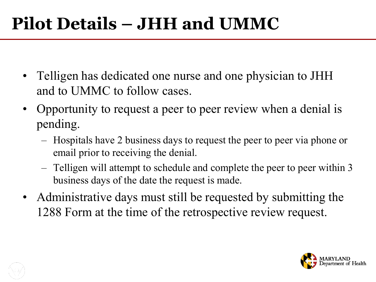### **Pilot Details – JHH and UMMC**

- Telligen has dedicated one nurse and one physician to JHH and to UMMC to follow cases.
- Opportunity to request a peer to peer review when a denial is pending.
	- Hospitals have 2 business days to request the peer to peer via phone or email prior to receiving the denial.
	- Telligen will attempt to schedule and complete the peer to peer within 3 business days of the date the request is made.
- Administrative days must still be requested by submitting the 1288 Form at the time of the retrospective review request.

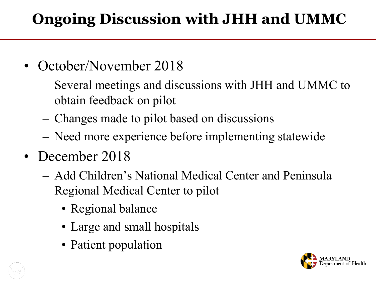#### **Ongoing Discussion with JHH and UMMC**

- October/November 2018
	- Several meetings and discussions with JHH and UMMC to obtain feedback on pilot
	- Changes made to pilot based on discussions
	- Need more experience before implementing statewide
- December 2018
	- Add Children's National Medical Center and Peninsula Regional Medical Center to pilot
		- Regional balance
		- Large and small hospitals
		- Patient population